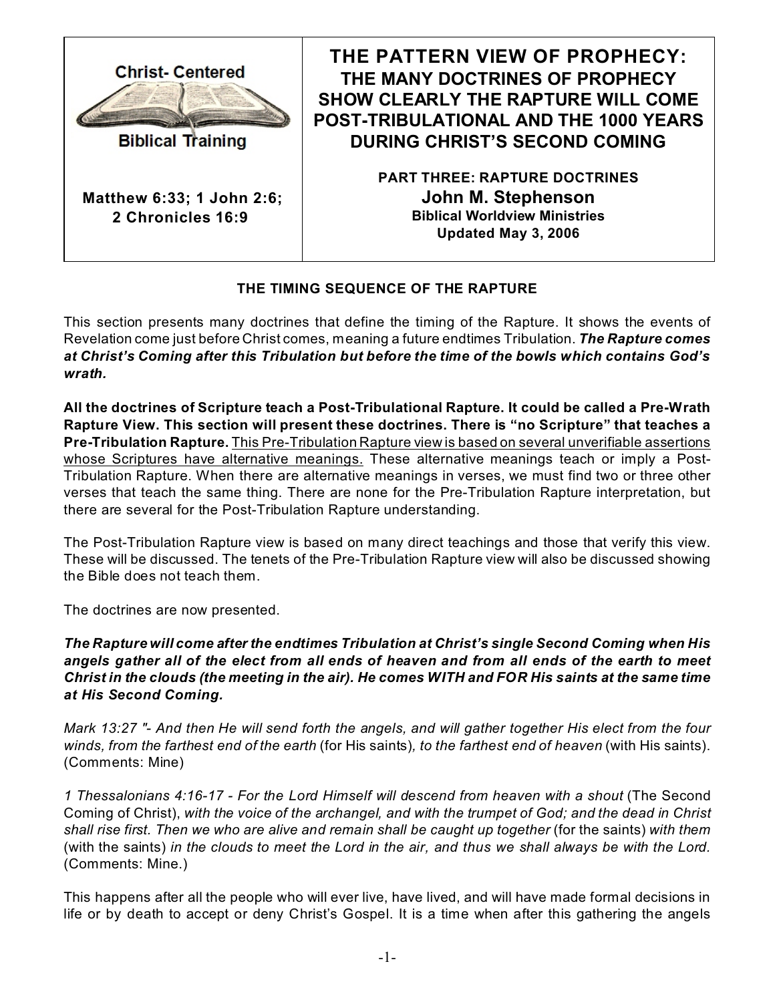

**Biblical Training** 

**Matthew 6:33; 1 John 2:6; 2 Chronicles 16:9** 

**THE PATTERN VIEW OF PROPHECY: THE MANY DOCTRINES OF PROPHECY SHOW CLEARLY THE RAPTURE WILL COME POST-TRIBULATIONAL AND THE 1000 YEARS DURING CHRIST'S SECOND COMING**

> **PART THREE: RAPTURE DOCTRINES John M. Stephenson Biblical Worldview Ministries Updated May 3, 2006**

# **THE TIMING SEQUENCE OF THE RAPTURE**

This section presents many doctrines that define the timing of the Rapture. It shows the events of Revelation come just before Christ comes, meaning a future endtimes Tribulation. *The Rapture comes at Christ's Coming after this Tribulation but before the time of the bowls which contains God's wrath.*

**All the doctrines of Scripture teach a Post-Tribulational Rapture. It could be called a Pre-Wrath Rapture View. This section will present these doctrines. There is "no Scripture" that teaches a Pre-Tribulation Rapture.** This Pre-Tribulation Rapture view is based on several unverifiable assertions whose Scriptures have alternative meanings. These alternative meanings teach or imply a Post-Tribulation Rapture. When there are alternative meanings in verses, we must find two or three other verses that teach the same thing. There are none for the Pre-Tribulation Rapture interpretation, but there are several for the Post-Tribulation Rapture understanding.

The Post-Tribulation Rapture view is based on many direct teachings and those that verify this view. These will be discussed. The tenets of the Pre-Tribulation Rapture view will also be discussed showing the Bible does not teach them.

The doctrines are now presented.

*The Rapture will come after the endtimes Tribulation at Christ's single Second Coming when His angels gather all of the elect from all ends of heaven and from all ends of the earth to meet Christ in the clouds (the meeting in the air). He comes WITH and FOR His saints at the same time at His Second Coming.*

*Mark 13:27 "- And then He will send forth the angels, and will gather together His elect from the four winds, from the farthest end of the earth* (for His saints)*, to the farthest end of heaven* (with His saints). (Comments: Mine)

*1 Thessalonians 4:16-17 - For the Lord Himself will descend from heaven with a shout* (The Second Coming of Christ), *with the voice of the archangel, and with the trumpet of God; and the dead in Christ shall rise first. Then we who are alive and remain shall be caught up together* (for the saints) *with them* (with the saints) *in the clouds to meet the Lord in the air, and thus we shall always be with the Lord.* (Comments: Mine.)

This happens after all the people who will ever live, have lived, and will have made formal decisions in life or by death to accept or deny Christ's Gospel. It is a time when after this gathering the angels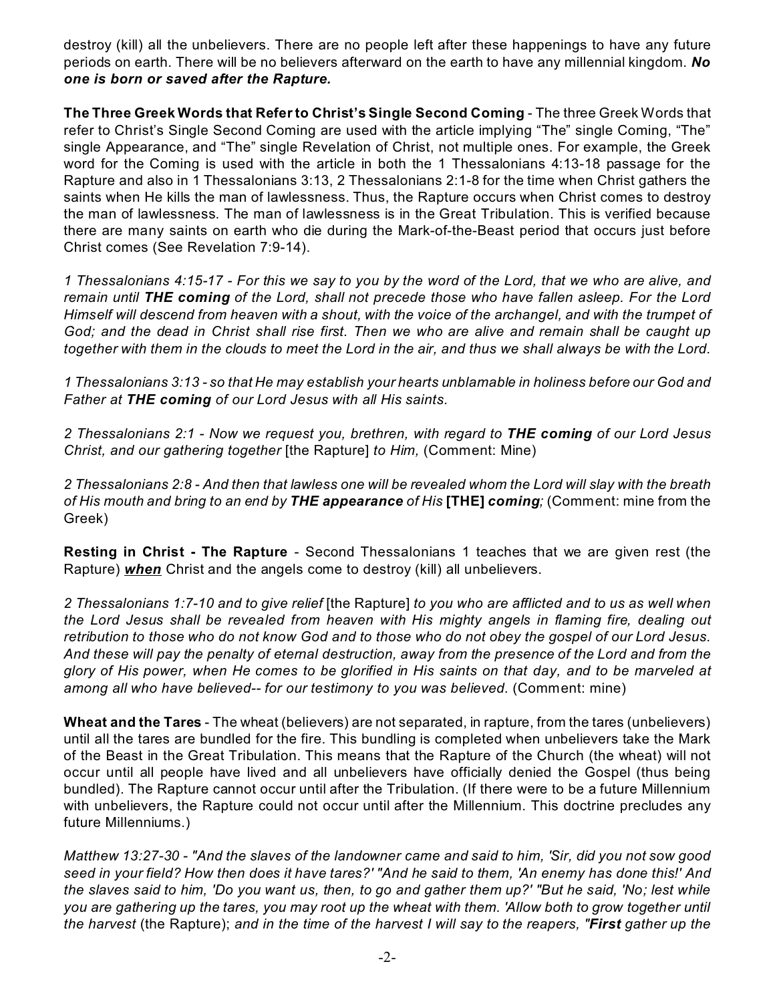destroy (kill) all the unbelievers. There are no people left after these happenings to have any future periods on earth. There will be no believers afterward on the earth to have any millennial kingdom. *No one is born or saved after the Rapture.*

**The Three Greek Words that Refer to Christ's Single Second Coming** - The three Greek Words that refer to Christ's Single Second Coming are used with the article implying "The" single Coming, "The" single Appearance, and "The" single Revelation of Christ, not multiple ones. For example, the Greek word for the Coming is used with the article in both the 1 Thessalonians 4:13-18 passage for the Rapture and also in 1 Thessalonians 3:13, 2 Thessalonians 2:1-8 for the time when Christ gathers the saints when He kills the man of lawlessness. Thus, the Rapture occurs when Christ comes to destroy the man of lawlessness. The man of lawlessness is in the Great Tribulation. This is verified because there are many saints on earth who die during the Mark-of-the-Beast period that occurs just before Christ comes (See Revelation 7:9-14).

*1 Thessalonians 4:15-17 - For this we say to you by the word of the Lord, that we who are alive, and remain until THE coming of the Lord, shall not precede those who have fallen asleep. For the Lord Himself will descend from heaven with a shout, with the voice of the archangel, and with the trumpet of God; and the dead in Christ shall rise first. Then we who are alive and remain shall be caught up together with them in the clouds to meet the Lord in the air, and thus we shall always be with the Lord*.

*1 Thessalonians 3:13 - so that He may establish your hearts unblamable in holiness before our God and Father at THE coming of our Lord Jesus with all His saints.*

*2 Thessalonians 2:1 - Now we request you, brethren, with regard to THE coming of our Lord Jesus Christ, and our gathering together* [the Rapture] *to Him,* (Comment: Mine)

*2 Thessalonians 2:8 - And then that lawless one will be revealed whom the Lord will slay with the breath of His mouth and bring to an end by THE appearance of His* **[THE]** *coming;* (Comment: mine from the Greek)

**Resting in Christ - The Rapture** - Second Thessalonians 1 teaches that we are given rest (the Rapture) *when* Christ and the angels come to destroy (kill) all unbelievers.

*2 Thessalonians 1:7-10 and to give relief* [the Rapture] *to you who are afflicted and to us as well when the Lord Jesus shall be revealed from heaven with His mighty angels in flaming fire, dealing out retribution to those who do not know God and to those who do not obey the gospel of our Lord Jesus. And these will pay the penalty of eternal destruction, away from the presence of the Lord and from the glory of His power, when He comes to be glorified in His saints on that day, and to be marveled at among all who have believed-- for our testimony to you was believed.* (Comment: mine)

**Wheat and the Tares** - The wheat (believers) are not separated, in rapture, from the tares (unbelievers) until all the tares are bundled for the fire. This bundling is completed when unbelievers take the Mark of the Beast in the Great Tribulation. This means that the Rapture of the Church (the wheat) will not occur until all people have lived and all unbelievers have officially denied the Gospel (thus being bundled). The Rapture cannot occur until after the Tribulation. (If there were to be a future Millennium with unbelievers, the Rapture could not occur until after the Millennium. This doctrine precludes any future Millenniums.)

*Matthew 13:27-30 - "And the slaves of the landowner came and said to him, 'Sir, did you not sow good seed in your field? How then does it have tares?' "And he said to them, 'An enemy has done this!' And the slaves said to him, 'Do you want us, then, to go and gather them up?' "But he said, 'No; lest while you are gathering up the tares, you may root up the wheat with them. 'Allow both to grow together until the harvest* (the Rapture); *and in the time of the harvest I will say to the reapers, "First gather up the*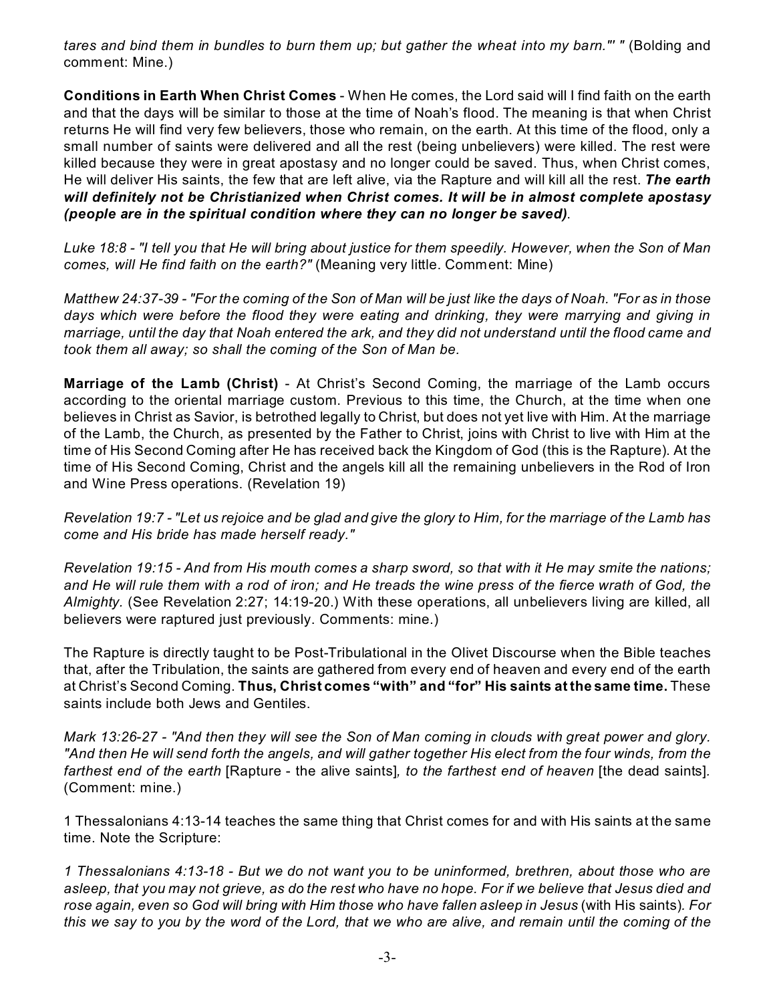*tares and bind them in bundles to burn them up; but gather the wheat into my barn."' "* (Bolding and comment: Mine.)

**Conditions in Earth When Christ Comes** - When He comes, the Lord said will I find faith on the earth and that the days will be similar to those at the time of Noah's flood. The meaning is that when Christ returns He will find very few believers, those who remain, on the earth. At this time of the flood, only a small number of saints were delivered and all the rest (being unbelievers) were killed. The rest were killed because they were in great apostasy and no longer could be saved. Thus, when Christ comes, He will deliver His saints, the few that are left alive, via the Rapture and will kill all the rest. *The earth will definitely not be Christianized when Christ comes. It will be in almost complete apostasy (people are in the spiritual condition where they can no longer be saved)*.

*Luke 18:8 - "I tell you that He will bring about justice for them speedily. However, when the Son of Man comes, will He find faith on the earth?"* (Meaning very little. Comment: Mine)

*Matthew 24:37-39 - "For the coming of the Son of Man will be just like the days of Noah. "For as in those days which were before the flood they were eating and drinking, they were marrying and giving in marriage, until the day that Noah entered the ark, and they did not understand until the flood came and took them all away; so shall the coming of the Son of Man be.*

**Marriage of the Lamb (Christ)** - At Christ's Second Coming, the marriage of the Lamb occurs according to the oriental marriage custom. Previous to this time, the Church, at the time when one believes in Christ as Savior, is betrothed legally to Christ, but does not yet live with Him. At the marriage of the Lamb, the Church, as presented by the Father to Christ, joins with Christ to live with Him at the time of His Second Coming after He has received back the Kingdom of God (this is the Rapture). At the time of His Second Coming, Christ and the angels kill all the remaining unbelievers in the Rod of Iron and Wine Press operations. (Revelation 19)

*Revelation 19:7 - "Let us rejoice and be glad and give the glory to Him, for the marriage of the Lamb has come and His bride has made herself ready."*

*Revelation 19:15 - And from His mouth comes a sharp sword, so that with it He may smite the nations; and He will rule them with a rod of iron; and He treads the wine press of the fierce wrath of God, the Almighty.* (See Revelation 2:27; 14:19-20.) With these operations, all unbelievers living are killed, all believers were raptured just previously. Comments: mine.)

The Rapture is directly taught to be Post-Tribulational in the Olivet Discourse when the Bible teaches that, after the Tribulation, the saints are gathered from every end of heaven and every end of the earth at Christ's Second Coming. **Thus, Christ comes "with" and "for" His saints at the same time.** These saints include both Jews and Gentiles.

*Mark 13:26-27 - "And then they will see the Son of Man coming in clouds with great power and glory. "And then He will send forth the angels, and will gather together His elect from the four winds, from the farthest end of the earth* [Rapture - the alive saints]*, to the farthest end of heaven* [the dead saints]*.* (Comment: mine.)

1 Thessalonians 4:13-14 teaches the same thing that Christ comes for and with His saints at the same time. Note the Scripture:

*1 Thessalonians 4:13-18 - But we do not want you to be uninformed, brethren, about those who are asleep, that you may not grieve, as do the rest who have no hope. For if we believe that Jesus died and rose again, even so God will bring with Him those who have fallen asleep in Jesus* (with His saints)*. For this we say to you by the word of the Lord, that we who are alive, and remain until the coming of the*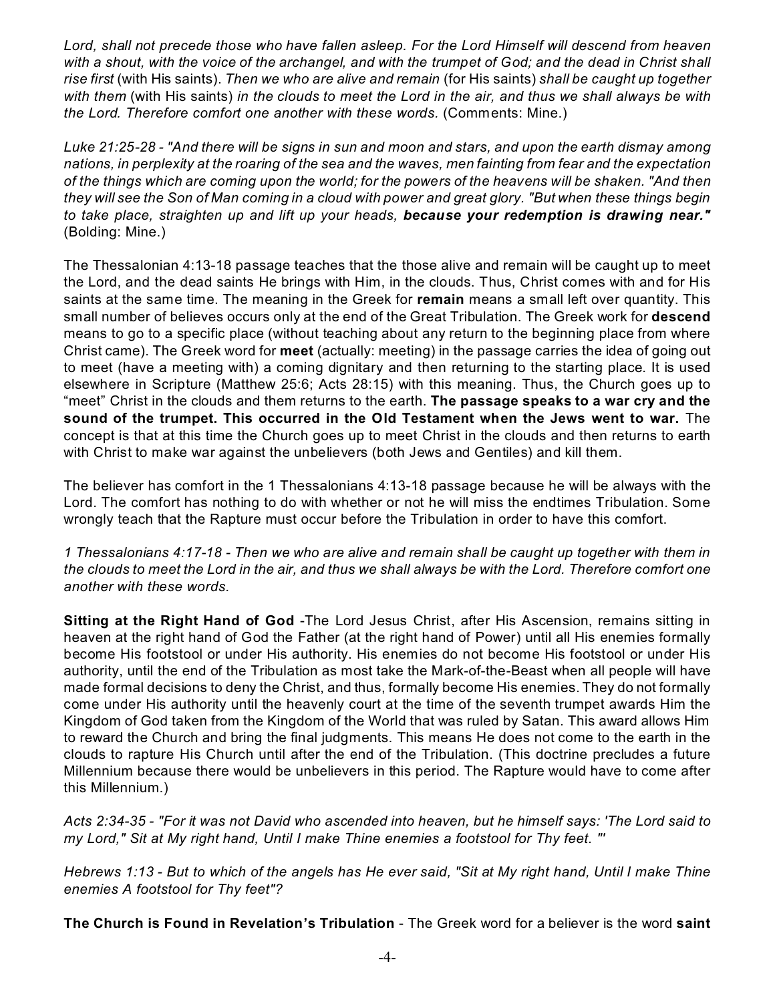*Lord, shall not precede those who have fallen asleep. For the Lord Himself will descend from heaven* with a shout, with the voice of the archangel, and with the trumpet of God; and the dead in Christ shall *rise first* (with His saints). *Then we who are alive and remain* (for His saints) *shall be caught up together with them* (with His saints) *in the clouds to meet the Lord in the air, and thus we shall always be with the Lord. Therefore comfort one another with these words.* (Comments: Mine.)

*Luke 21:25-28 - "And there will be signs in sun and moon and stars, and upon the earth dismay among nations, in perplexity at the roaring of the sea and the waves, men fainting from fear and the expectation of the things which are coming upon the world; for the powers of the heavens will be shaken. "And then they will see the Son of Man coming in a cloud with power and great glory. "But when these things begin to take place, straighten up and lift up your heads, because your redemption is drawing near."* (Bolding: Mine.)

The Thessalonian 4:13-18 passage teaches that the those alive and remain will be caught up to meet the Lord, and the dead saints He brings with Him, in the clouds. Thus, Christ comes with and for His saints at the same time. The meaning in the Greek for **remain** means a small left over quantity. This small number of believes occurs only at the end of the Great Tribulation. The Greek work for **descend** means to go to a specific place (without teaching about any return to the beginning place from where Christ came). The Greek word for **meet** (actually: meeting) in the passage carries the idea of going out to meet (have a meeting with) a coming dignitary and then returning to the starting place. It is used elsewhere in Scripture (Matthew 25:6; Acts 28:15) with this meaning. Thus, the Church goes up to "meet" Christ in the clouds and them returns to the earth. **The passage speaks to a war cry and the sound of the trumpet. This occurred in the Old Testament when the Jews went to war.** The concept is that at this time the Church goes up to meet Christ in the clouds and then returns to earth with Christ to make war against the unbelievers (both Jews and Gentiles) and kill them.

The believer has comfort in the 1 Thessalonians 4:13-18 passage because he will be always with the Lord. The comfort has nothing to do with whether or not he will miss the endtimes Tribulation. Some wrongly teach that the Rapture must occur before the Tribulation in order to have this comfort.

*1 Thessalonians 4:17-18 - Then we who are alive and remain shall be caught up together with them in the clouds to meet the Lord in the air, and thus we shall always be with the Lord. Therefore comfort one another with these words.*

**Sitting at the Right Hand of God** -The Lord Jesus Christ, after His Ascension, remains sitting in heaven at the right hand of God the Father (at the right hand of Power) until all His enemies formally become His footstool or under His authority. His enemies do not become His footstool or under His authority, until the end of the Tribulation as most take the Mark-of-the-Beast when all people will have made formal decisions to deny the Christ, and thus, formally become His enemies. They do not formally come under His authority until the heavenly court at the time of the seventh trumpet awards Him the Kingdom of God taken from the Kingdom of the World that was ruled by Satan. This award allows Him to reward the Church and bring the final judgments. This means He does not come to the earth in the clouds to rapture His Church until after the end of the Tribulation. (This doctrine precludes a future Millennium because there would be unbelievers in this period. The Rapture would have to come after this Millennium.)

*Acts 2:34-35 - "For it was not David who ascended into heaven, but he himself says: 'The Lord said to my Lord," Sit at My right hand, Until I make Thine enemies a footstool for Thy feet. "'*

*Hebrews 1:13 - But to which of the angels has He ever said, "Sit at My right hand, Until I make Thine enemies A footstool for Thy feet"?*

**The Church is Found in Revelation's Tribulation** - The Greek word for a believer is the word **saint**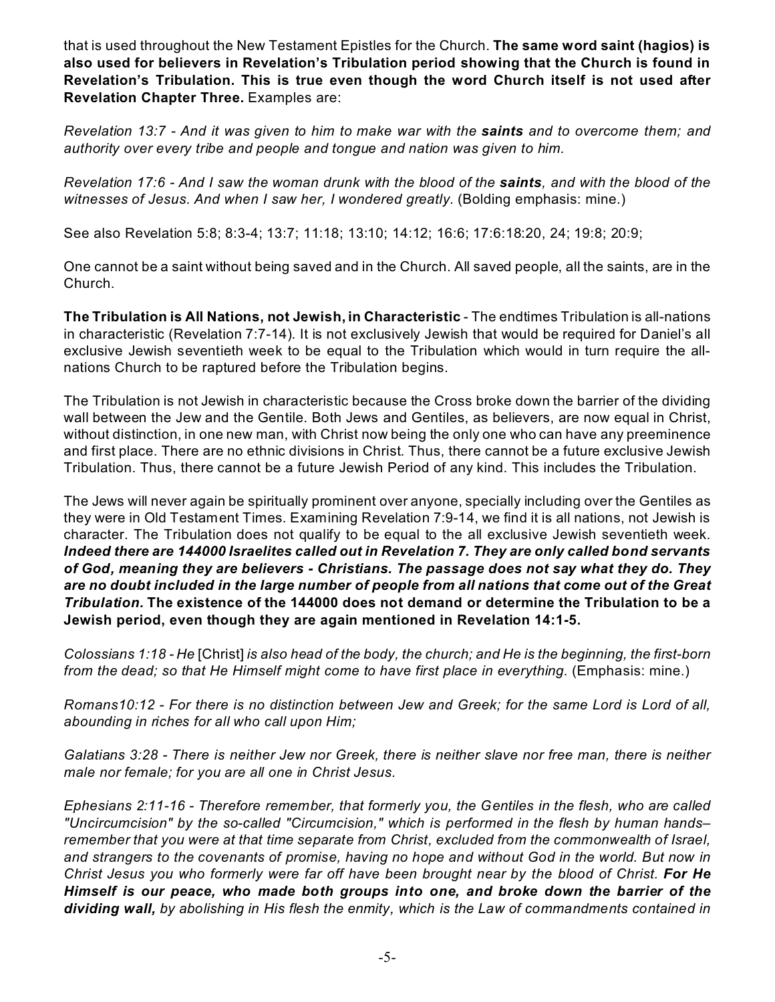that is used throughout the New Testament Epistles for the Church. **The same word saint (hagios) is also used for believers in Revelation's Tribulation period showing that the Church is found in Revelation's Tribulation. This is true even though the word Church itself is not used after Revelation Chapter Three.** Examples are:

*Revelation 13:7 - And it was given to him to make war with the saints and to overcome them; and authority over every tribe and people and tongue and nation was given to him.*

*Revelation 17:6 - And I saw the woman drunk with the blood of the saints, and with the blood of the witnesses of Jesus. And when I saw her, I wondered greatly.* (Bolding emphasis: mine.)

See also Revelation 5:8; 8:3-4; 13:7; 11:18; 13:10; 14:12; 16:6; 17:6:18:20, 24; 19:8; 20:9;

One cannot be a saint without being saved and in the Church. All saved people, all the saints, are in the Church.

**The Tribulation is All Nations, not Jewish, in Characteristic** - The endtimes Tribulation is all-nations in characteristic (Revelation 7:7-14). It is not exclusively Jewish that would be required for Daniel's all exclusive Jewish seventieth week to be equal to the Tribulation which would in turn require the allnations Church to be raptured before the Tribulation begins.

The Tribulation is not Jewish in characteristic because the Cross broke down the barrier of the dividing wall between the Jew and the Gentile. Both Jews and Gentiles, as believers, are now equal in Christ, without distinction, in one new man, with Christ now being the only one who can have any preeminence and first place. There are no ethnic divisions in Christ. Thus, there cannot be a future exclusive Jewish Tribulation. Thus, there cannot be a future Jewish Period of any kind. This includes the Tribulation.

The Jews will never again be spiritually prominent over anyone, specially including over the Gentiles as they were in Old Testament Times. Examining Revelation 7:9-14, we find it is all nations, not Jewish is character. The Tribulation does not qualify to be equal to the all exclusive Jewish seventieth week. *Indeed there are 144000 Israelites called out in Revelation 7. They are only called bond servants of God, meaning they are believers - Christians. The passage does not say what they do. They are no doubt included in the large number of people from all nations that come out of the Great Tribulation.* **The existence of the 144000 does not demand or determine the Tribulation to be a Jewish period, even though they are again mentioned in Revelation 14:1-5.**

*Colossians 1:18 - He* [Christ] *is also head of the body, the church; and He is the beginning, the first-born from the dead; so that He Himself might come to have first place in everything.* (Emphasis: mine.)

*Romans10:12 - For there is no distinction between Jew and Greek; for the same Lord is Lord of all, abounding in riches for all who call upon Him;*

*Galatians 3:28 - There is neither Jew nor Greek, there is neither slave nor free man, there is neither male nor female; for you are all one in Christ Jesus.*

*Ephesians 2:11-16 - Therefore remember, that formerly you, the Gentiles in the flesh, who are called "Uncircumcision" by the so-called "Circumcision," which is performed in the flesh by human hands– remember that you were at that time separate from Christ, excluded from the commonwealth of Israel, and strangers to the covenants of promise, having no hope and without God in the world. But now in Christ Jesus you who formerly were far off have been brought near by the blood of Christ. For He Himself is our peace, who made both groups into one, and broke down the barrier of the dividing wall, by abolishing in His flesh the enmity, which is the Law of commandments contained in*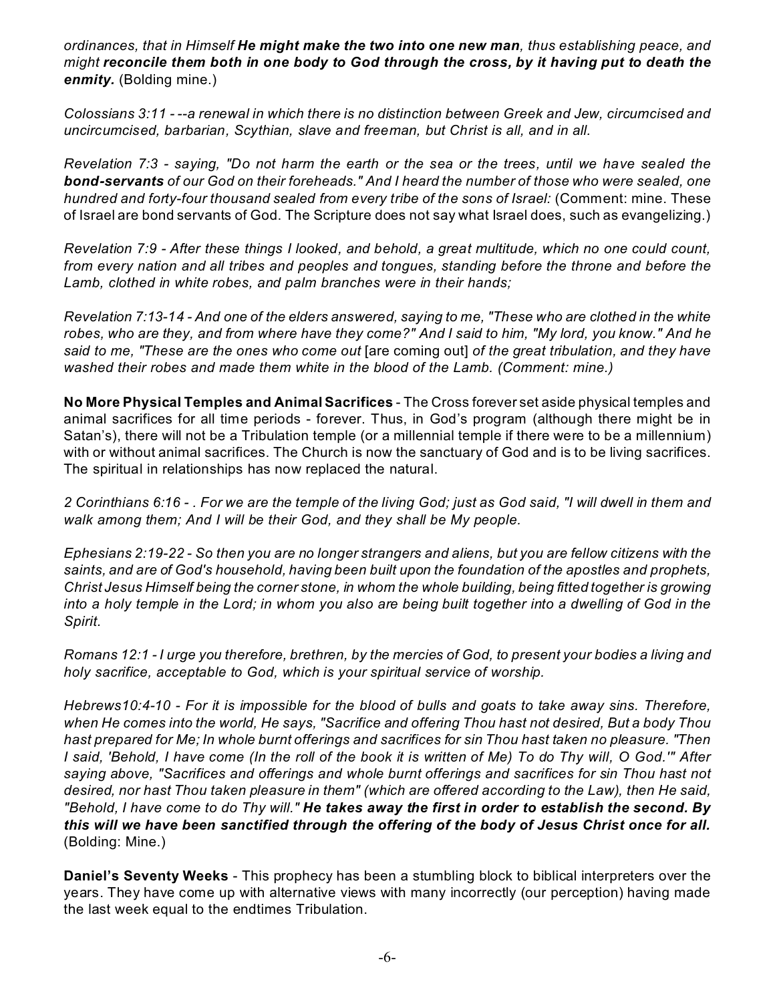*ordinances, that in Himself He might make the two into one new man, thus establishing peace, and might reconcile them both in one body to God through the cross, by it having put to death the enmity.* (Bolding mine.)

*Colossians 3:11 - --a renewal in which there is no distinction between Greek and Jew, circumcised and uncircumcised, barbarian, Scythian, slave and freeman, but Christ is all, and in all.*

*Revelation 7:3 - saying, "Do not harm the earth or the sea or the trees, until we have sealed the bond-servants of our God on their foreheads." And I heard the number of those who were sealed, one hundred and forty-four thousand sealed from every tribe of the sons of Israel:* (Comment: mine. These of Israel are bond servants of God. The Scripture does not say what Israel does, such as evangelizing.)

*Revelation 7:9 - After these things I looked, and behold, a great multitude, which no one could count, from every nation and all tribes and peoples and tongues, standing before the throne and before the Lamb, clothed in white robes, and palm branches were in their hands;*

*Revelation 7:13-14 - And one of the elders answered, saying to me, "These who are clothed in the white robes, who are they, and from where have they come?" And I said to him, "My lord, you know." And he said to me, "These are the ones who come out* [are coming out] *of the great tribulation, and they have washed their robes and made them white in the blood of the Lamb. (Comment: mine.)*

**No More Physical Temples and Animal Sacrifices** - The Cross forever set aside physical temples and animal sacrifices for all time periods - forever. Thus, in God's program (although there might be in Satan's), there will not be a Tribulation temple (or a millennial temple if there were to be a millennium) with or without animal sacrifices. The Church is now the sanctuary of God and is to be living sacrifices. The spiritual in relationships has now replaced the natural.

*2 Corinthians 6:16 - . For we are the temple of the living God; just as God said, "I will dwell in them and walk among them; And I will be their God, and they shall be My people.*

*Ephesians 2:19-22 - So then you are no longer strangers and aliens, but you are fellow citizens with the saints, and are of God's household, having been built upon the foundation of the apostles and prophets, Christ Jesus Himself being the corner stone, in whom the whole building, being fitted together is growing into a holy temple in the Lord; in whom you also are being built together into a dwelling of God in the Spirit.*

*Romans 12:1 - I urge you therefore, brethren, by the mercies of God, to present your bodies a living and holy sacrifice, acceptable to God, which is your spiritual service of worship.*

*Hebrews10:4-10 - For it is impossible for the blood of bulls and goats to take away sins. Therefore, when He comes into the world, He says, "Sacrifice and offering Thou hast not desired, But a body Thou hast prepared for Me; In whole burnt offerings and sacrifices for sin Thou hast taken no pleasure. "Then I said, 'Behold, I have come (In the roll of the book it is written of Me) To do Thy will, O God.'" After saying above, "Sacrifices and offerings and whole burnt offerings and sacrifices for sin Thou hast not desired, nor hast Thou taken pleasure in them" (which are offered according to the Law), then He said, "Behold, I have come to do Thy will." He takes away the first in order to establish the second. By this will we have been sanctified through the offering of the body of Jesus Christ once for all.* (Bolding: Mine.)

**Daniel's Seventy Weeks** - This prophecy has been a stumbling block to biblical interpreters over the years. They have come up with alternative views with many incorrectly (our perception) having made the last week equal to the endtimes Tribulation.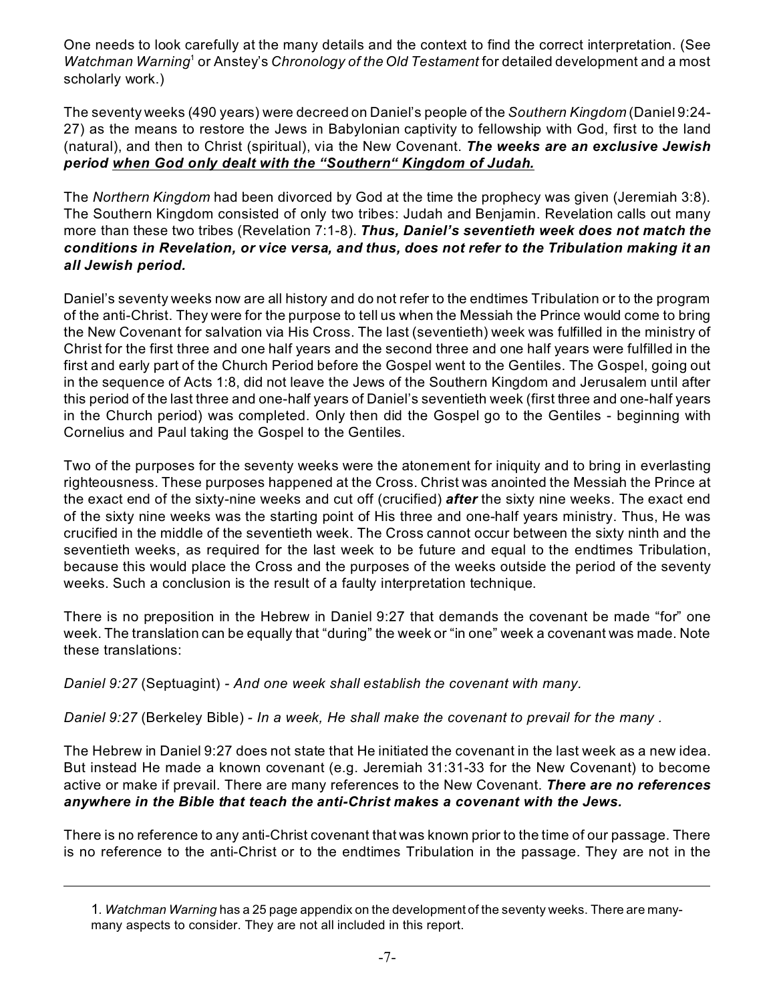One needs to look carefully at the many details and the context to find the correct interpretation. (See Watchman Warning<sup>1</sup> or Anstey's *Chronology of the Old Testament* for detailed development and a most scholarly work.)

The seventy weeks (490 years) were decreed on Daniel's people of the *Southern Kingdom* (Daniel 9:24- 27) as the means to restore the Jews in Babylonian captivity to fellowship with God, first to the land (natural), and then to Christ (spiritual), via the New Covenant. *The weeks are an exclusive Jewish period when God only dealt with the "Southern" Kingdom of Judah.*

The *Northern Kingdom* had been divorced by God at the time the prophecy was given (Jeremiah 3:8). The Southern Kingdom consisted of only two tribes: Judah and Benjamin. Revelation calls out many more than these two tribes (Revelation 7:1-8). *Thus, Daniel's seventieth week does not match the conditions in Revelation, or vice versa, and thus, does not refer to the Tribulation making it an all Jewish period.*

Daniel's seventy weeks now are all history and do not refer to the endtimes Tribulation or to the program of the anti-Christ. They were for the purpose to tell us when the Messiah the Prince would come to bring the New Covenant for salvation via His Cross. The last (seventieth) week was fulfilled in the ministry of Christ for the first three and one half years and the second three and one half years were fulfilled in the first and early part of the Church Period before the Gospel went to the Gentiles. The Gospel, going out in the sequence of Acts 1:8, did not leave the Jews of the Southern Kingdom and Jerusalem until after this period of the last three and one-half years of Daniel's seventieth week (first three and one-half years in the Church period) was completed. Only then did the Gospel go to the Gentiles - beginning with Cornelius and Paul taking the Gospel to the Gentiles.

Two of the purposes for the seventy weeks were the atonement for iniquity and to bring in everlasting righteousness. These purposes happened at the Cross. Christ was anointed the Messiah the Prince at the exact end of the sixty-nine weeks and cut off (crucified) *after* the sixty nine weeks. The exact end of the sixty nine weeks was the starting point of His three and one-half years ministry. Thus, He was crucified in the middle of the seventieth week. The Cross cannot occur between the sixty ninth and the seventieth weeks, as required for the last week to be future and equal to the endtimes Tribulation, because this would place the Cross and the purposes of the weeks outside the period of the seventy weeks. Such a conclusion is the result of a faulty interpretation technique.

There is no preposition in the Hebrew in Daniel 9:27 that demands the covenant be made "for" one week. The translation can be equally that "during" the week or "in one" week a covenant was made. Note these translations:

*Daniel 9:27* (Septuagint) *- And one week shall establish the covenant with many.*

*Daniel 9:27* (Berkeley Bible) *- In a week, He shall make the covenant to prevail for the many .*

The Hebrew in Daniel 9:27 does not state that He initiated the covenant in the last week as a new idea. But instead He made a known covenant (e.g. Jeremiah 31:31-33 for the New Covenant) to become active or make if prevail. There are many references to the New Covenant. *There are no references anywhere in the Bible that teach the anti-Christ makes a covenant with the Jews.*

There is no reference to any anti-Christ covenant that was known prior to the time of our passage. There is no reference to the anti-Christ or to the endtimes Tribulation in the passage. They are not in the

<sup>1</sup>*. Watchman Warning* has a 25 page appendix on the development of the seventy weeks. There are manymany aspects to consider. They are not all included in this report.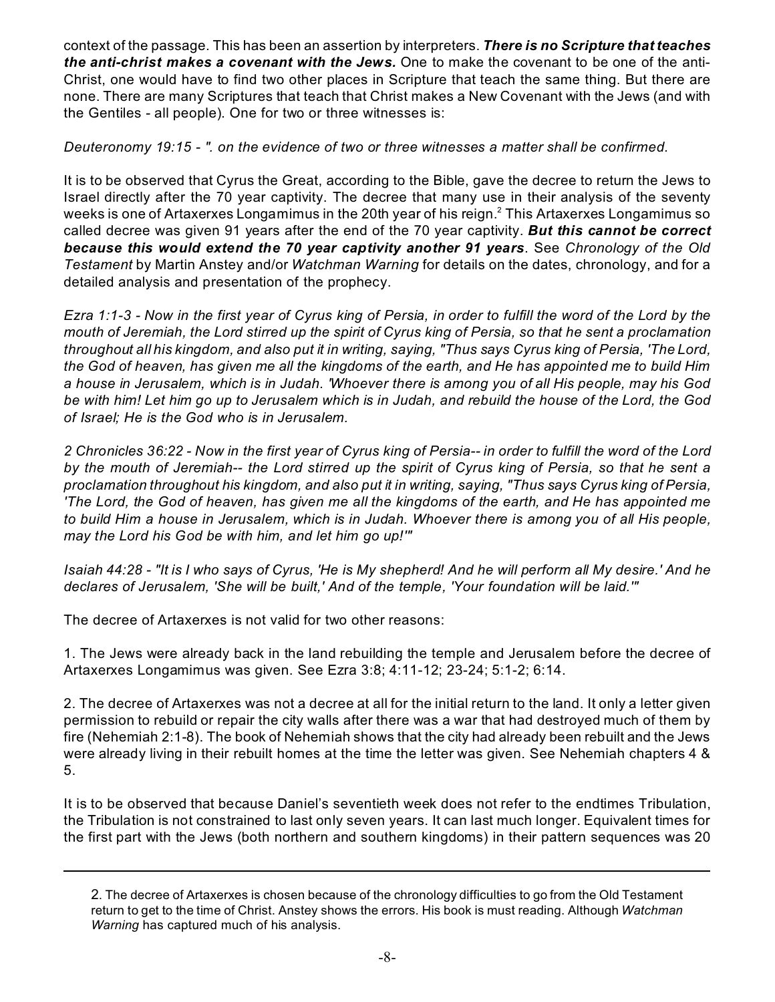context of the passage. This has been an assertion by interpreters. *There is no Scripture that teaches the anti-christ makes a covenant with the Jews.* One to make the covenant to be one of the anti-Christ, one would have to find two other places in Scripture that teach the same thing. But there are none. There are many Scriptures that teach that Christ makes a New Covenant with the Jews (and with the Gentiles - all people). One for two or three witnesses is:

*Deuteronomy 19:15 - ". on the evidence of two or three witnesses a matter shall be confirmed.*

It is to be observed that Cyrus the Great, according to the Bible, gave the decree to return the Jews to Israel directly after the 70 year captivity. The decree that many use in their analysis of the seventy weeks is one of Artaxerxes Longamimus in the 20th year of his reign. $^{\rm 2}$  This Artaxerxes Longamimus so called decree was given 91 years after the end of the 70 year captivity. *But this cannot be correct because this would extend the 70 year captivity another 91 years*. See *Chronology of the Old Testament* by Martin Anstey and/or *Watchman Warning* for details on the dates, chronology, and for a detailed analysis and presentation of the prophecy.

*Ezra 1:1-3 - Now in the first year of Cyrus king of Persia, in order to fulfill the word of the Lord by the mouth of Jeremiah, the Lord stirred up the spirit of Cyrus king of Persia, so that he sent a proclamation throughout all his kingdom, and also put it in writing, saying, "Thus says Cyrus king of Persia, 'The Lord, the God of heaven, has given me all the kingdoms of the earth, and He has appointed me to build Him a house in Jerusalem, which is in Judah. 'Whoever there is among you of all His people, may his God be with him! Let him go up to Jerusalem which is in Judah, and rebuild the house of the Lord, the God of Israel; He is the God who is in Jerusalem.*

*2 Chronicles 36:22 - Now in the first year of Cyrus king of Persia-- in order to fulfill the word of the Lord by the mouth of Jeremiah-- the Lord stirred up the spirit of Cyrus king of Persia, so that he sent a proclamation throughout his kingdom, and also put it in writing, saying, "Thus says Cyrus king of Persia, 'The Lord, the God of heaven, has given me all the kingdoms of the earth, and He has appointed me to build Him a house in Jerusalem, which is in Judah. Whoever there is among you of all His people, may the Lord his God be with him, and let him go up!'"*

*Isaiah 44:28 - "It is I who says of Cyrus, 'He is My shepherd! And he will perform all My desire.' And he declares of Jerusalem, 'She will be built,' And of the temple, 'Your foundation will be laid.'"*

The decree of Artaxerxes is not valid for two other reasons:

1. The Jews were already back in the land rebuilding the temple and Jerusalem before the decree of Artaxerxes Longamimus was given. See Ezra 3:8; 4:11-12; 23-24; 5:1-2; 6:14.

2. The decree of Artaxerxes was not a decree at all for the initial return to the land. It only a letter given permission to rebuild or repair the city walls after there was a war that had destroyed much of them by fire (Nehemiah 2:1-8). The book of Nehemiah shows that the city had already been rebuilt and the Jews were already living in their rebuilt homes at the time the letter was given. See Nehemiah chapters 4 & 5.

It is to be observed that because Daniel's seventieth week does not refer to the endtimes Tribulation, the Tribulation is not constrained to last only seven years. It can last much longer. Equivalent times for the first part with the Jews (both northern and southern kingdoms) in their pattern sequences was 20

<sup>2</sup>. The decree of Artaxerxes is chosen because of the chronology difficulties to go from the Old Testament return to get to the time of Christ. Anstey shows the errors. His book is must reading. Although *Watchman Warning* has captured much of his analysis.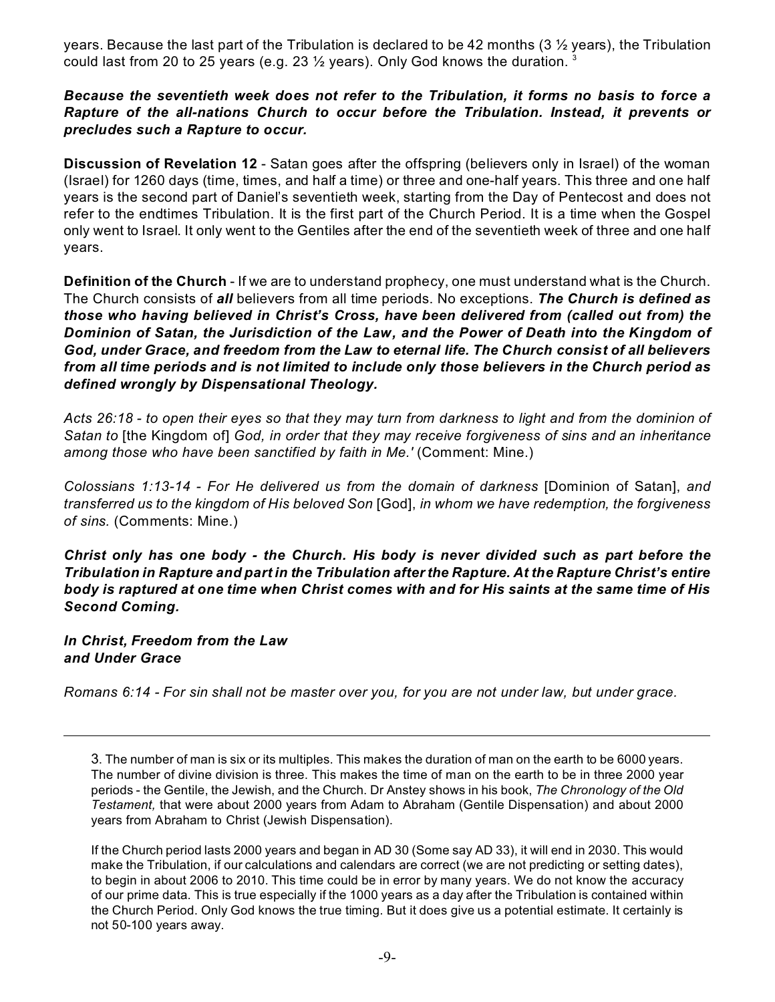years. Because the last part of the Tribulation is declared to be 42 months (3 ½ years), the Tribulation could last from 20 to 25 years (e.g. 23  $\frac{1}{2}$  years). Only God knows the duration. <sup>3</sup>

### *Because the seventieth week does not refer to the Tribulation, it forms no basis to force a Rapture of the all-nations Church to occur before the Tribulation. Instead, it prevents or precludes such a Rapture to occur.*

**Discussion of Revelation 12** - Satan goes after the offspring (believers only in Israel) of the woman (Israel) for 1260 days (time, times, and half a time) or three and one-half years. This three and one half years is the second part of Daniel's seventieth week, starting from the Day of Pentecost and does not refer to the endtimes Tribulation. It is the first part of the Church Period. It is a time when the Gospel only went to Israel. It only went to the Gentiles after the end of the seventieth week of three and one half years.

**Definition of the Church** - If we are to understand prophecy, one must understand what is the Church. The Church consists of *all* believers from all time periods. No exceptions. *The Church is defined as those who having believed in Christ's Cross, have been delivered from (called out from) the Dominion of Satan, the Jurisdiction of the Law, and the Power of Death into the Kingdom of God, under Grace, and freedom from the Law to eternal life. The Church consist of all believers from all time periods and is not limited to include only those believers in the Church period as defined wrongly by Dispensational Theology.*

*Acts 26:18 - to open their eyes so that they may turn from darkness to light and from the dominion of Satan to* [the Kingdom of] *God, in order that they may receive forgiveness of sins and an inheritance among those who have been sanctified by faith in Me.'* (Comment: Mine.)

*Colossians 1:13-14 - For He delivered us from the domain of darkness* [Dominion of Satan], *and transferred us to the kingdom of His beloved Son* [God], *in whom we have redemption, the forgiveness of sins.* (Comments: Mine.)

*Christ only has one body - the Church. His body is never divided such as part before the Tribulation in Rapture and part in the Tribulation after the Rapture. At the Rapture Christ's entire body is raptured at one time when Christ comes with and for His saints at the same time of His Second Coming.*

*In Christ, Freedom from the Law and Under Grace*

*Romans 6:14 - For sin shall not be master over you, for you are not under law, but under grace.*

If the Church period lasts 2000 years and began in AD 30 (Some say AD 33), it will end in 2030. This would make the Tribulation, if our calculations and calendars are correct (we are not predicting or setting dates), to begin in about 2006 to 2010. This time could be in error by many years. We do not know the accuracy of our prime data. This is true especially if the 1000 years as a day after the Tribulation is contained within the Church Period. Only God knows the true timing. But it does give us a potential estimate. It certainly is not 50-100 years away.

<sup>3</sup>. The number of man is six or its multiples. This makes the duration of man on the earth to be 6000 years. The number of divine division is three. This makes the time of man on the earth to be in three 2000 year periods - the Gentile, the Jewish, and the Church. Dr Anstey shows in his book, *The Chronology of the Old Testament,* that were about 2000 years from Adam to Abraham (Gentile Dispensation) and about 2000 years from Abraham to Christ (Jewish Dispensation).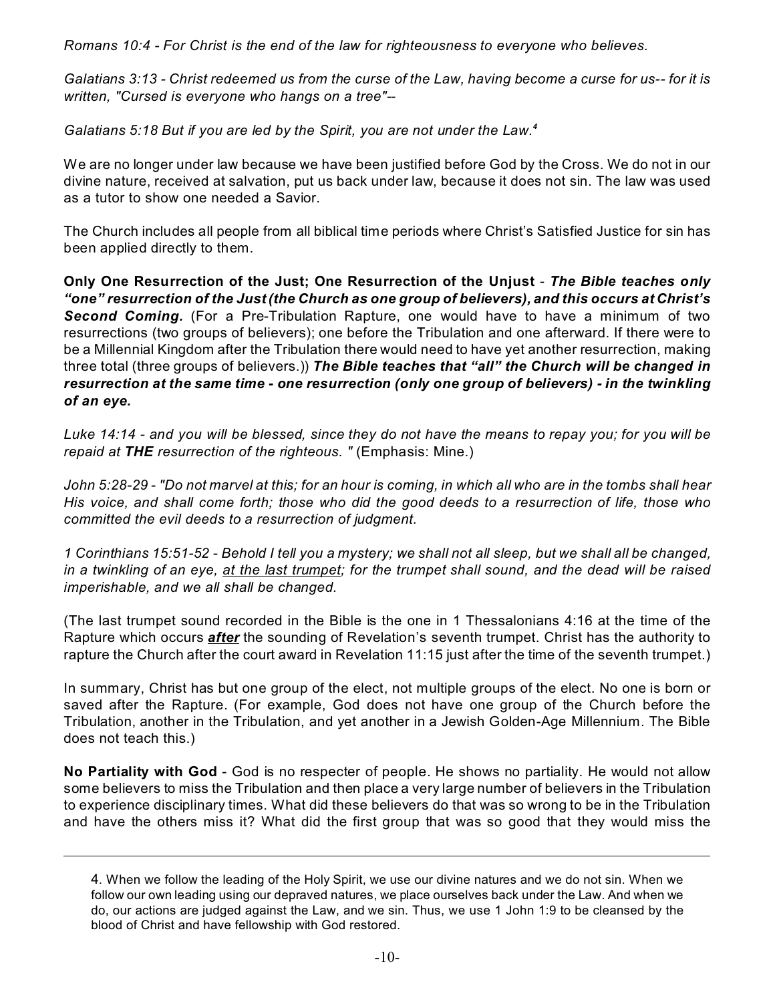*Romans 10:4 - For Christ is the end of the law for righteousness to everyone who believes.*

*Galatians 3:13 - Christ redeemed us from the curse of the Law, having become a curse for us-- for it is written, "Cursed is everyone who hangs on a tree"--*

*Galatians 5:18 But if you are led by the Spirit, you are not under the Law.<sup>4</sup>*

We are no longer under law because we have been justified before God by the Cross. We do not in our divine nature, received at salvation, put us back under law, because it does not sin. The law was used as a tutor to show one needed a Savior.

The Church includes all people from all biblical time periods where Christ's Satisfied Justice for sin has been applied directly to them.

**Only One Resurrection of the Just; One Resurrection of the Unjust** - *The Bible teaches only "one" resurrection of the Just (the Church as one group of believers), and this occurs at Christ's Second Coming.* (For a Pre-Tribulation Rapture, one would have to have a minimum of two resurrections (two groups of believers); one before the Tribulation and one afterward. If there were to be a Millennial Kingdom after the Tribulation there would need to have yet another resurrection, making three total (three groups of believers.)) *The Bible teaches that "all" the Church will be changed in resurrection at the same time - one resurrection (only one group of believers) - in the twinkling of an eye.*

*Luke 14:14 - and you will be blessed, since they do not have the means to repay you; for you will be repaid at THE resurrection of the righteous. "* (Emphasis: Mine.)

*John 5:28-29 - "Do not marvel at this; for an hour is coming, in which all who are in the tombs shall hear His voice, and shall come forth; those who did the good deeds to a resurrection of life, those who committed the evil deeds to a resurrection of judgment.*

*1 Corinthians 15:51-52 - Behold I tell you a mystery; we shall not all sleep, but we shall all be changed, in a twinkling of an eye, at the last trumpet; for the trumpet shall sound, and the dead will be raised imperishable, and we all shall be changed.*

(The last trumpet sound recorded in the Bible is the one in 1 Thessalonians 4:16 at the time of the Rapture which occurs *after* the sounding of Revelation's seventh trumpet. Christ has the authority to rapture the Church after the court award in Revelation 11:15 just after the time of the seventh trumpet.)

In summary, Christ has but one group of the elect, not multiple groups of the elect. No one is born or saved after the Rapture. (For example, God does not have one group of the Church before the Tribulation, another in the Tribulation, and yet another in a Jewish Golden-Age Millennium. The Bible does not teach this.)

**No Partiality with God** - God is no respecter of people. He shows no partiality. He would not allow some believers to miss the Tribulation and then place a very large number of believers in the Tribulation to experience disciplinary times. What did these believers do that was so wrong to be in the Tribulation and have the others miss it? What did the first group that was so good that they would miss the

<sup>4</sup>. When we follow the leading of the Holy Spirit, we use our divine natures and we do not sin. When we follow our own leading using our depraved natures, we place ourselves back under the Law. And when we do, our actions are judged against the Law, and we sin. Thus, we use 1 John 1:9 to be cleansed by the blood of Christ and have fellowship with God restored.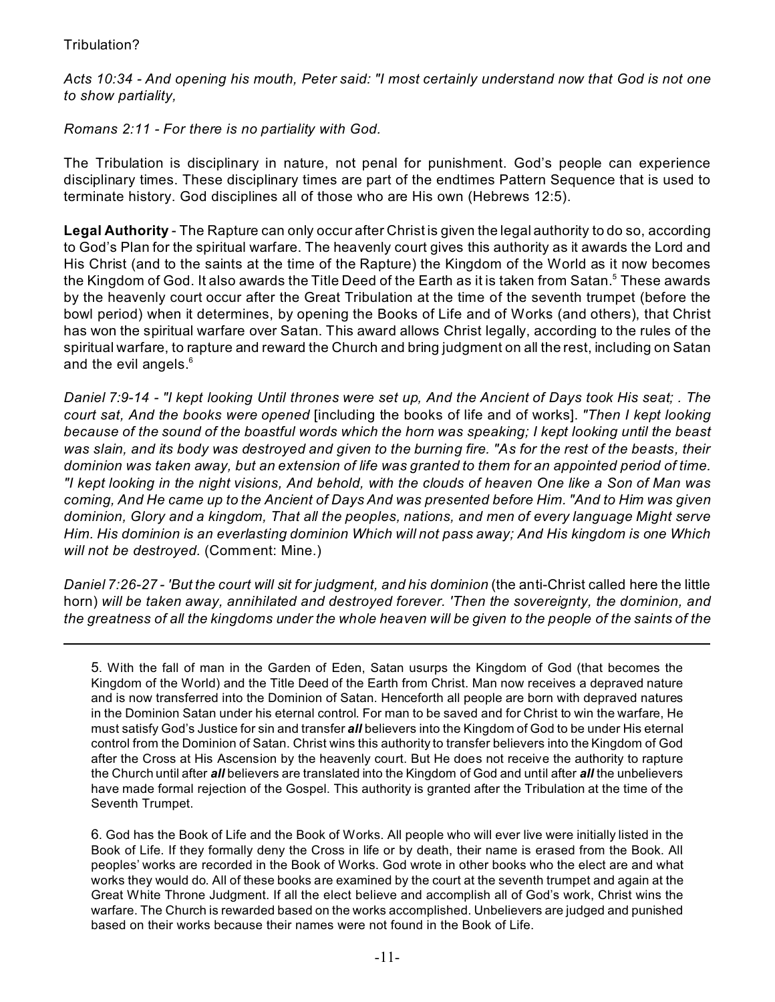# Tribulation?

*Acts 10:34 - And opening his mouth, Peter said: "I most certainly understand now that God is not one to show partiality,*

*Romans 2:11 - For there is no partiality with God.*

The Tribulation is disciplinary in nature, not penal for punishment. God's people can experience disciplinary times. These disciplinary times are part of the endtimes Pattern Sequence that is used to terminate history. God disciplines all of those who are His own (Hebrews 12:5).

**Legal Authority** - The Rapture can only occur after Christ is given the legal authority to do so, according to God's Plan for the spiritual warfare. The heavenly court gives this authority as it awards the Lord and His Christ (and to the saints at the time of the Rapture) the Kingdom of the World as it now becomes the Kingdom of God. It also awards the Title Deed of the Earth as it is taken from Satan. $^{\rm 5}$  These awards by the heavenly court occur after the Great Tribulation at the time of the seventh trumpet (before the bowl period) when it determines, by opening the Books of Life and of Works (and others), that Christ has won the spiritual warfare over Satan. This award allows Christ legally, according to the rules of the spiritual warfare, to rapture and reward the Church and bring judgment on all the rest, including on Satan and the evil angels. $6\overline{6}$ 

*Daniel 7:9-14 - "I kept looking Until thrones were set up, And the Ancient of Days took His seat; . The court sat, And the books were opened* [including the books of life and of works]. *"Then I kept looking because of the sound of the boastful words which the horn was speaking; I kept looking until the beast was slain, and its body was destroyed and given to the burning fire. "As for the rest of the beasts, their dominion was taken away, but an extension of life was granted to them for an appointed period of time. "I kept looking in the night visions, And behold, with the clouds of heaven One like a Son of Man was coming, And He came up to the Ancient of Days And was presented before Him. "And to Him was given dominion, Glory and a kingdom, That all the peoples, nations, and men of every language Might serve Him. His dominion is an everlasting dominion Which will not pass away; And His kingdom is one Which will not be destroyed.* (Comment: Mine.)

*Daniel 7:26-27 - 'But the court will sit for judgment, and his dominion* (the anti-Christ called here the little horn) *will be taken away, annihilated and destroyed forever. 'Then the sovereignty, the dominion, and the greatness of all the kingdoms under the whole heaven will be given to the people of the saints of the*

6. God has the Book of Life and the Book of Works. All people who will ever live were initially listed in the Book of Life. If they formally deny the Cross in life or by death, their name is erased from the Book. All peoples' works are recorded in the Book of Works. God wrote in other books who the elect are and what works they would do. All of these books are examined by the court at the seventh trumpet and again at the Great White Throne Judgment. If all the elect believe and accomplish all of God's work, Christ wins the warfare. The Church is rewarded based on the works accomplished. Unbelievers are judged and punished based on their works because their names were not found in the Book of Life.

<sup>5</sup>. With the fall of man in the Garden of Eden, Satan usurps the Kingdom of God (that becomes the Kingdom of the World) and the Title Deed of the Earth from Christ. Man now receives a depraved nature and is now transferred into the Dominion of Satan. Henceforth all people are born with depraved natures in the Dominion Satan under his eternal control. For man to be saved and for Christ to win the warfare, He must satisfy God's Justice for sin and transfer *all* believers into the Kingdom of God to be under His eternal control from the Dominion of Satan. Christ wins this authority to transfer believers into the Kingdom of God after the Cross at His Ascension by the heavenly court. But He does not receive the authority to rapture the Church until after *all* believers are translated into the Kingdom of God and until after *all* the unbelievers have made formal rejection of the Gospel. This authority is granted after the Tribulation at the time of the Seventh Trumpet.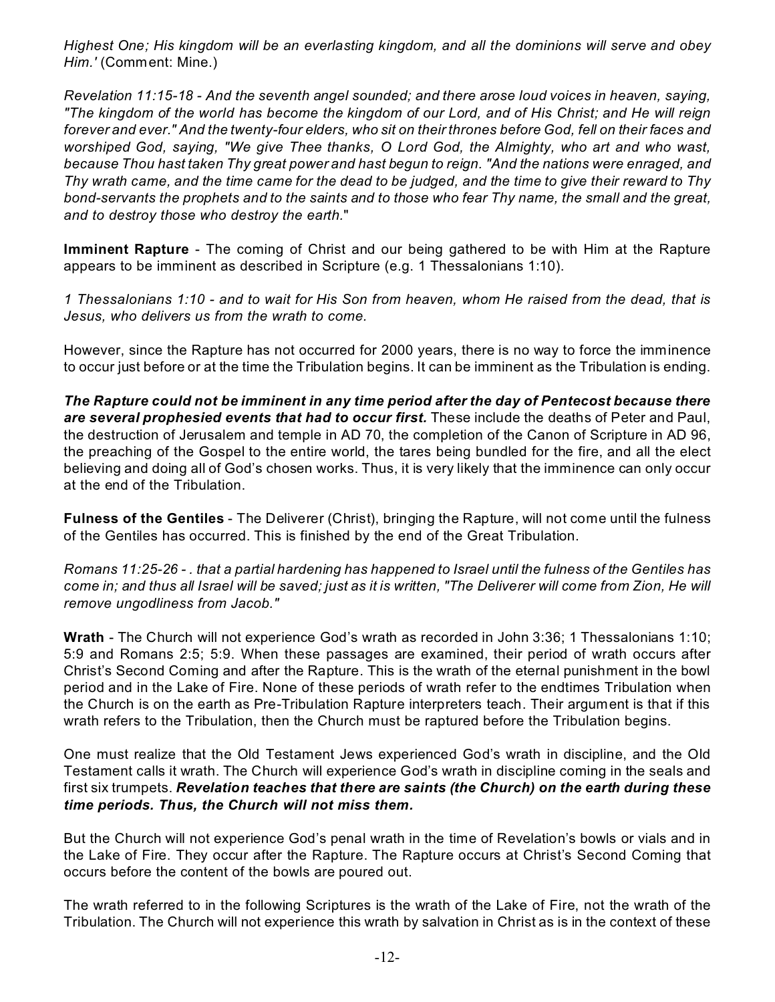*Highest One; His kingdom will be an everlasting kingdom, and all the dominions will serve and obey Him.'* (Comment: Mine.)

*Revelation 11:15-18 - And the seventh angel sounded; and there arose loud voices in heaven, saying, "The kingdom of the world has become the kingdom of our Lord, and of His Christ; and He will reign forever and ever." And the twenty-four elders, who sit on their thrones before God, fell on their faces and worshiped God, saying, "We give Thee thanks, O Lord God, the Almighty, who art and who wast, because Thou hast taken Thy great power and hast begun to reign. "And the nations were enraged, and Thy wrath came, and the time came for the dead to be judged, and the time to give their reward to Thy bond-servants the prophets and to the saints and to those who fear Thy name, the small and the great, and to destroy those who destroy the earth.*"

**Imminent Rapture** - The coming of Christ and our being gathered to be with Him at the Rapture appears to be imminent as described in Scripture (e.g. 1 Thessalonians 1:10).

*1 Thessalonians 1:10 - and to wait for His Son from heaven, whom He raised from the dead, that is Jesus, who delivers us from the wrath to come.*

However, since the Rapture has not occurred for 2000 years, there is no way to force the imminence to occur just before or at the time the Tribulation begins. It can be imminent as the Tribulation is ending.

*The Rapture could not be imminent in any time period after the day of Pentecost because there are several prophesied events that had to occur first.* These include the deaths of Peter and Paul, the destruction of Jerusalem and temple in AD 70, the completion of the Canon of Scripture in AD 96, the preaching of the Gospel to the entire world, the tares being bundled for the fire, and all the elect believing and doing all of God's chosen works. Thus, it is very likely that the imminence can only occur at the end of the Tribulation.

**Fulness of the Gentiles** - The Deliverer (Christ), bringing the Rapture, will not come until the fulness of the Gentiles has occurred. This is finished by the end of the Great Tribulation.

*Romans 11:25-26 - . that a partial hardening has happened to Israel until the fulness of the Gentiles has come in; and thus all Israel will be saved; just as it is written, "The Deliverer will come from Zion, He will remove ungodliness from Jacob."*

**Wrath** - The Church will not experience God's wrath as recorded in John 3:36; 1 Thessalonians 1:10; 5:9 and Romans 2:5; 5:9. When these passages are examined, their period of wrath occurs after Christ's Second Coming and after the Rapture. This is the wrath of the eternal punishment in the bowl period and in the Lake of Fire. None of these periods of wrath refer to the endtimes Tribulation when the Church is on the earth as Pre-Tribulation Rapture interpreters teach. Their argument is that if this wrath refers to the Tribulation, then the Church must be raptured before the Tribulation begins.

One must realize that the Old Testament Jews experienced God's wrath in discipline, and the Old Testament calls it wrath. The Church will experience God's wrath in discipline coming in the seals and first six trumpets. *Revelation teaches that there are saints (the Church) on the earth during these time periods. Thus, the Church will not miss them.* 

But the Church will not experience God's penal wrath in the time of Revelation's bowls or vials and in the Lake of Fire. They occur after the Rapture. The Rapture occurs at Christ's Second Coming that occurs before the content of the bowls are poured out.

The wrath referred to in the following Scriptures is the wrath of the Lake of Fire, not the wrath of the Tribulation. The Church will not experience this wrath by salvation in Christ as is in the context of these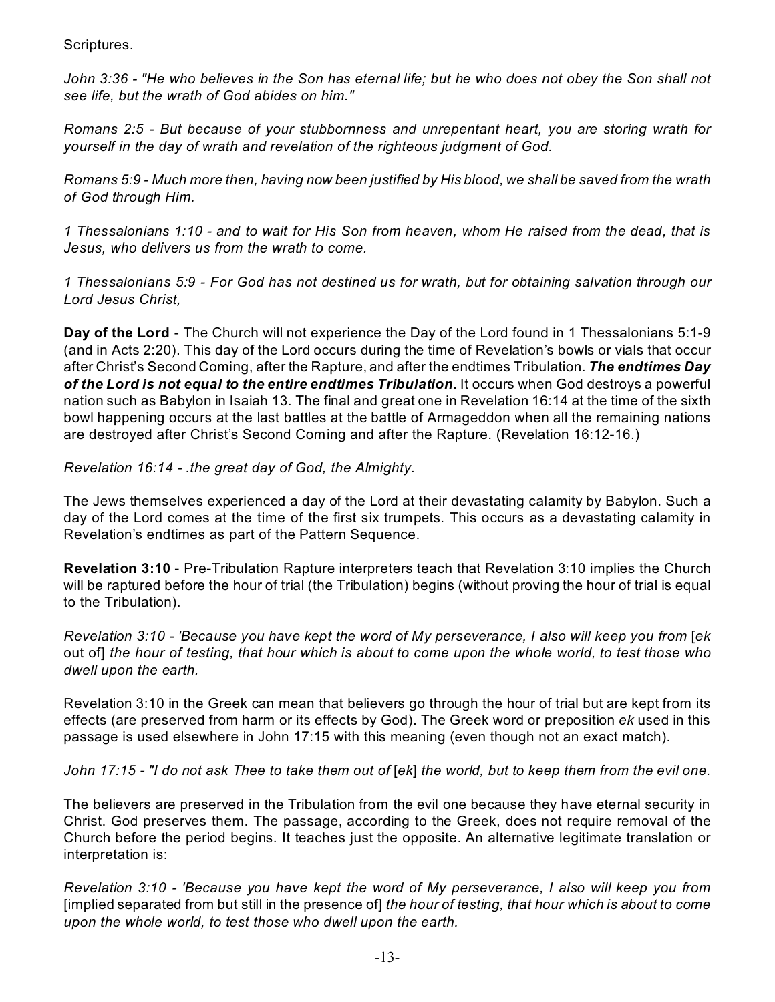Scriptures.

*John 3:36 - "He who believes in the Son has eternal life; but he who does not obey the Son shall not see life, but the wrath of God abides on him."*

*Romans 2:5 - But because of your stubbornness and unrepentant heart, you are storing wrath for yourself in the day of wrath and revelation of the righteous judgment of God.*

*Romans 5:9 - Much more then, having now been justified by His blood, we shall be saved from the wrath of God through Him.*

*1 Thessalonians 1:10 - and to wait for His Son from heaven, whom He raised from the dead, that is Jesus, who delivers us from the wrath to come.*

*1 Thessalonians 5:9 - For God has not destined us for wrath, but for obtaining salvation through our Lord Jesus Christ,*

**Day of the Lord** - The Church will not experience the Day of the Lord found in 1 Thessalonians 5:1-9 (and in Acts 2:20). This day of the Lord occurs during the time of Revelation's bowls or vials that occur after Christ's Second Coming, after the Rapture, and after the endtimes Tribulation. *The endtimes Day of the Lord is not equal to the entire endtimes Tribulation.* It occurs when God destroys a powerful nation such as Babylon in Isaiah 13. The final and great one in Revelation 16:14 at the time of the sixth bowl happening occurs at the last battles at the battle of Armageddon when all the remaining nations are destroyed after Christ's Second Coming and after the Rapture. (Revelation 16:12-16.)

*Revelation 16:14 - .the great day of God, the Almighty.*

The Jews themselves experienced a day of the Lord at their devastating calamity by Babylon. Such a day of the Lord comes at the time of the first six trumpets. This occurs as a devastating calamity in Revelation's endtimes as part of the Pattern Sequence.

**Revelation 3:10** - Pre-Tribulation Rapture interpreters teach that Revelation 3:10 implies the Church will be raptured before the hour of trial (the Tribulation) begins (without proving the hour of trial is equal to the Tribulation).

*Revelation 3:10 - 'Because you have kept the word of My perseverance, I also will keep you from [ek* out of] *the hour of testing, that hour which is about to come upon the whole world, to test those who dwell upon the earth.*

Revelation 3:10 in the Greek can mean that believers go through the hour of trial but are kept from its effects (are preserved from harm or its effects by God). The Greek word or preposition *ek* used in this passage is used elsewhere in John 17:15 with this meaning (even though not an exact match).

*John 17:15 - "I do not ask Thee to take them out of* [*ek*] *the world, but to keep them from the evil one.*

The believers are preserved in the Tribulation from the evil one because they have eternal security in Christ. God preserves them. The passage, according to the Greek, does not require removal of the Church before the period begins. It teaches just the opposite. An alternative legitimate translation or interpretation is:

*Revelation 3:10 - 'Because you have kept the word of My perseverance, I also will keep you from* [implied separated from but still in the presence of] *the hour of testing, that hour which is about to come upon the whole world, to test those who dwell upon the earth.*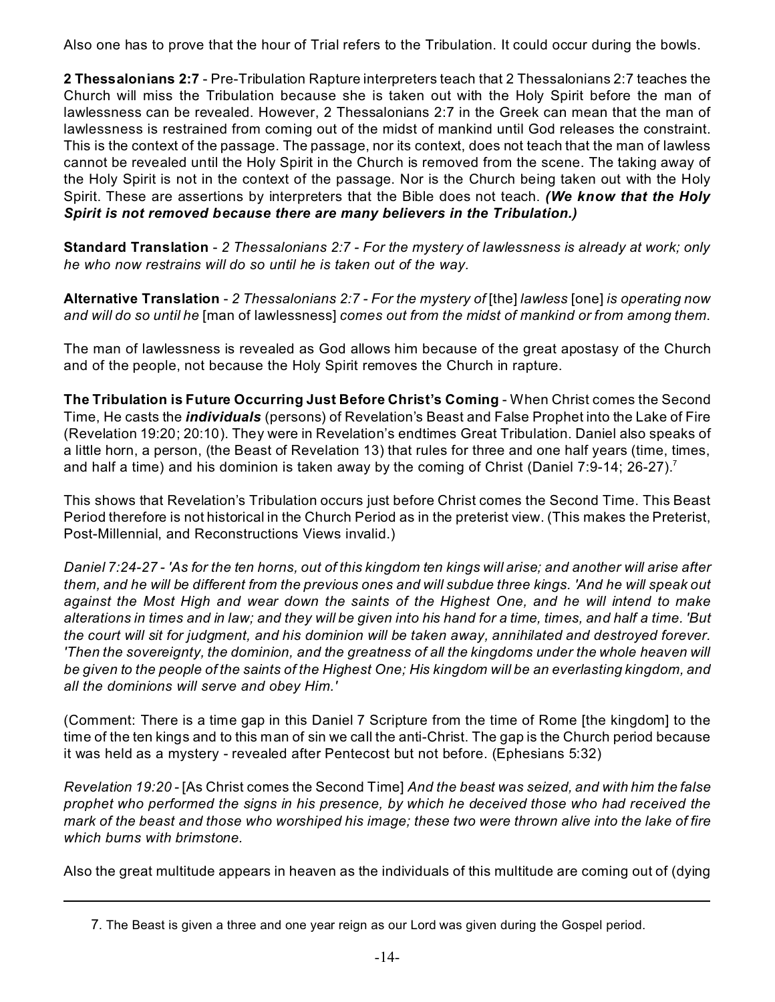Also one has to prove that the hour of Trial refers to the Tribulation. It could occur during the bowls.

**2 Thessalonians 2:7** - Pre-Tribulation Rapture interpreters teach that 2 Thessalonians 2:7 teaches the Church will miss the Tribulation because she is taken out with the Holy Spirit before the man of lawlessness can be revealed. However, 2 Thessalonians 2:7 in the Greek can mean that the man of lawlessness is restrained from coming out of the midst of mankind until God releases the constraint. This is the context of the passage. The passage, nor its context, does not teach that the man of lawless cannot be revealed until the Holy Spirit in the Church is removed from the scene. The taking away of the Holy Spirit is not in the context of the passage. Nor is the Church being taken out with the Holy Spirit. These are assertions by interpreters that the Bible does not teach. *(We know that the Holy Spirit is not removed because there are many believers in the Tribulation.)*

**Standard Translation** - *2 Thessalonians 2:7 - For the mystery of lawlessness is already at work; only he who now restrains will do so until he is taken out of the way.*

**Alternative Translation** - *2 Thessalonians 2:7 - For the mystery of* [the] *lawless* [one] *is operating now and will do so until he* [man of lawlessness] *comes out from the midst of mankind or from among them*.

The man of lawlessness is revealed as God allows him because of the great apostasy of the Church and of the people, not because the Holy Spirit removes the Church in rapture.

**The Tribulation is Future Occurring Just Before Christ's Coming** - When Christ comes the Second Time, He casts the *individuals* (persons) of Revelation's Beast and False Prophet into the Lake of Fire (Revelation 19:20; 20:10). They were in Revelation's endtimes Great Tribulation. Daniel also speaks of a little horn, a person, (the Beast of Revelation 13) that rules for three and one half years (time, times, and half a time) and his dominion is taken away by the coming of Christ (Daniel 7:9-14; 26-27).<sup>7</sup>

This shows that Revelation's Tribulation occurs just before Christ comes the Second Time. This Beast Period therefore is not historical in the Church Period as in the preterist view. (This makes the Preterist, Post-Millennial, and Reconstructions Views invalid.)

*Daniel 7:24-27 - 'As for the ten horns, out of this kingdom ten kings will arise; and another will arise after them, and he will be different from the previous ones and will subdue three kings. 'And he will speak out against the Most High and wear down the saints of the Highest One, and he will intend to make alterations in times and in law; and they will be given into his hand for a time, times, and half a time. 'But the court will sit for judgment, and his dominion will be taken away, annihilated and destroyed forever. 'Then the sovereignty, the dominion, and the greatness of all the kingdoms under the whole heaven will be given to the people of the saints of the Highest One; His kingdom will be an everlasting kingdom, and all the dominions will serve and obey Him.'*

(Comment: There is a time gap in this Daniel 7 Scripture from the time of Rome [the kingdom] to the time of the ten kings and to this man of sin we call the anti-Christ. The gap is the Church period because it was held as a mystery - revealed after Pentecost but not before. (Ephesians 5:32)

*Revelation 19:20 -* [As Christ comes the Second Time] *And the beast was seized, and with him the false prophet who performed the signs in his presence, by which he deceived those who had received the mark of the beast and those who worshiped his image; these two were thrown alive into the lake of fire which burns with brimstone.*

Also the great multitude appears in heaven as the individuals of this multitude are coming out of (dying

<sup>7</sup>. The Beast is given a three and one year reign as our Lord was given during the Gospel period.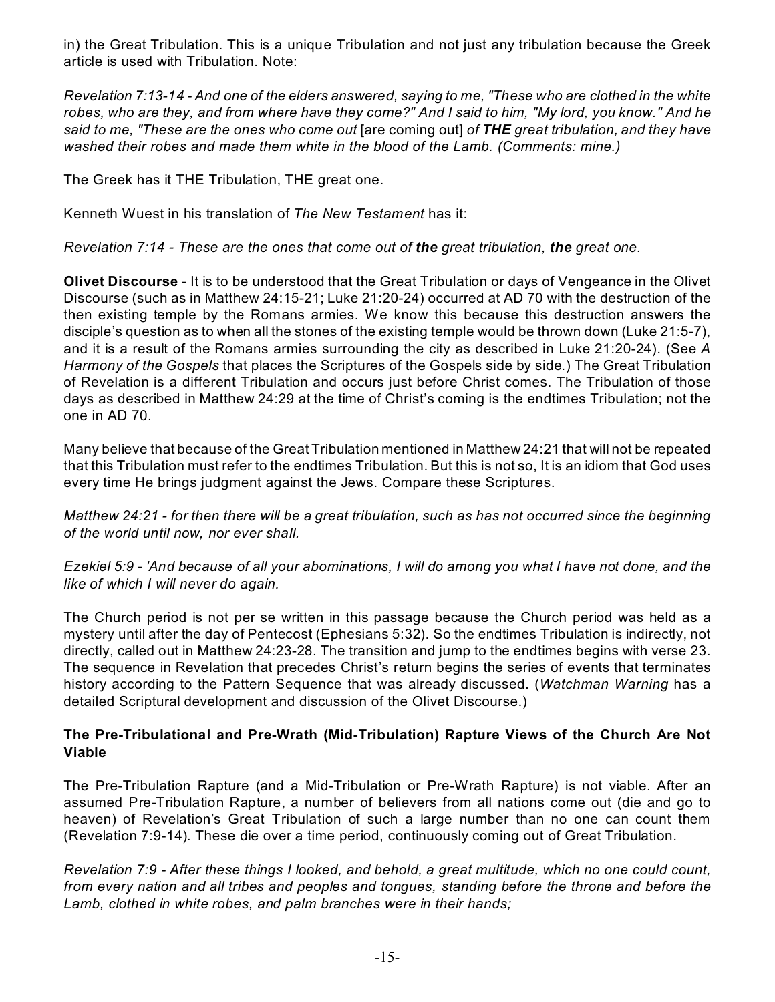in) the Great Tribulation. This is a unique Tribulation and not just any tribulation because the Greek article is used with Tribulation. Note:

*Revelation 7:13-14 - And one of the elders answered, saying to me, "These who are clothed in the white robes, who are they, and from where have they come?" And I said to him, "My lord, you know." And he said to me, "These are the ones who come out* [are coming out] *of THE great tribulation, and they have washed their robes and made them white in the blood of the Lamb. (Comments: mine.)*

The Greek has it THE Tribulation, THE great one.

Kenneth Wuest in his translation of *The New Testament* has it:

*Revelation 7:14 - These are the ones that come out of the great tribulation, the great one.*

**Olivet Discourse** - It is to be understood that the Great Tribulation or days of Vengeance in the Olivet Discourse (such as in Matthew 24:15-21; Luke 21:20-24) occurred at AD 70 with the destruction of the then existing temple by the Romans armies. We know this because this destruction answers the disciple's question as to when all the stones of the existing temple would be thrown down (Luke 21:5-7), and it is a result of the Romans armies surrounding the city as described in Luke 21:20-24). (See *A Harmony of the Gospels* that places the Scriptures of the Gospels side by side.) The Great Tribulation of Revelation is a different Tribulation and occurs just before Christ comes. The Tribulation of those days as described in Matthew 24:29 at the time of Christ's coming is the endtimes Tribulation; not the one in AD 70.

Many believe that because of the Great Tribulation mentioned in Matthew 24:21 that will not be repeated that this Tribulation must refer to the endtimes Tribulation. But this is not so, It is an idiom that God uses every time He brings judgment against the Jews. Compare these Scriptures.

*Matthew 24:21 - for then there will be a great tribulation, such as has not occurred since the beginning of the world until now, nor ever shall.*

*Ezekiel 5:9 - 'And because of all your abominations, I will do among you what I have not done, and the like of which I will never do again.*

The Church period is not per se written in this passage because the Church period was held as a mystery until after the day of Pentecost (Ephesians 5:32). So the endtimes Tribulation is indirectly, not directly, called out in Matthew 24:23-28. The transition and jump to the endtimes begins with verse 23. The sequence in Revelation that precedes Christ's return begins the series of events that terminates history according to the Pattern Sequence that was already discussed. (*Watchman Warning* has a detailed Scriptural development and discussion of the Olivet Discourse.)

## **The Pre-Tribulational and Pre-Wrath (Mid-Tribulation) Rapture Views of the Church Are Not Viable**

The Pre-Tribulation Rapture (and a Mid-Tribulation or Pre-Wrath Rapture) is not viable. After an assumed Pre-Tribulation Rapture, a number of believers from all nations come out (die and go to heaven) of Revelation's Great Tribulation of such a large number than no one can count them (Revelation 7:9-14). These die over a time period, continuously coming out of Great Tribulation.

*Revelation 7:9 - After these things I looked, and behold, a great multitude, which no one could count, from every nation and all tribes and peoples and tongues, standing before the throne and before the Lamb, clothed in white robes, and palm branches were in their hands;*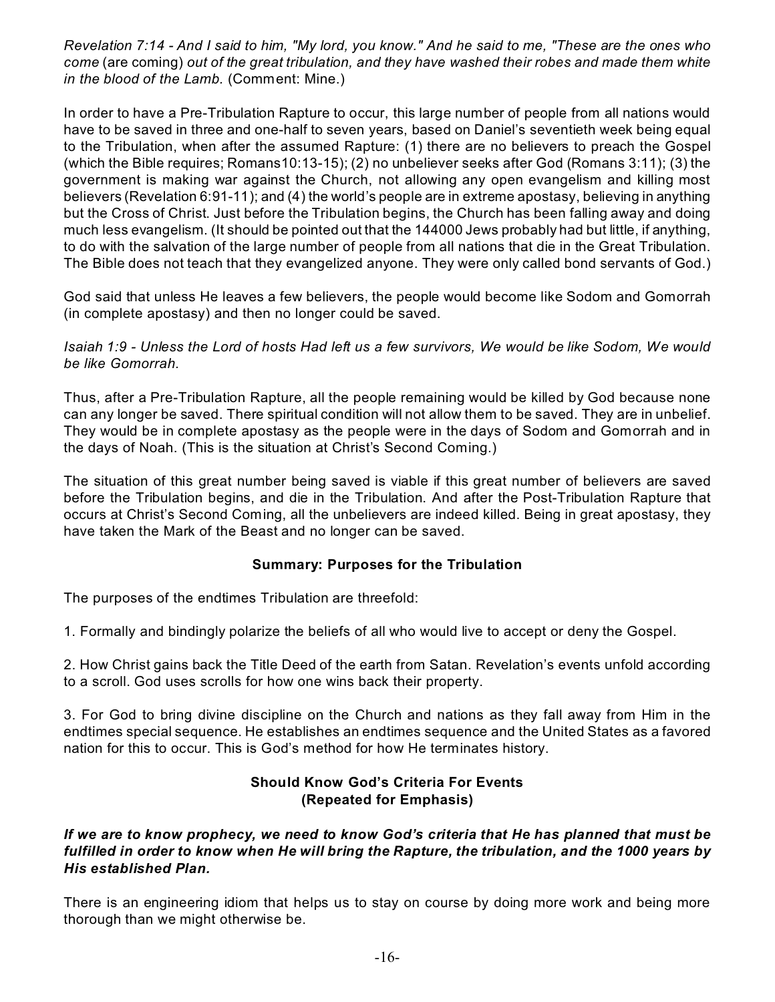*Revelation 7:14 - And I said to him, "My lord, you know." And he said to me, "These are the ones who come* (are coming) *out of the great tribulation, and they have washed their robes and made them white in the blood of the Lamb.* (Comment: Mine.)

In order to have a Pre-Tribulation Rapture to occur, this large number of people from all nations would have to be saved in three and one-half to seven years, based on Daniel's seventieth week being equal to the Tribulation, when after the assumed Rapture: (1) there are no believers to preach the Gospel (which the Bible requires; Romans10:13-15); (2) no unbeliever seeks after God (Romans 3:11); (3) the government is making war against the Church, not allowing any open evangelism and killing most believers (Revelation 6:91-11); and (4) the world's people are in extreme apostasy, believing in anything but the Cross of Christ. Just before the Tribulation begins, the Church has been falling away and doing much less evangelism. (It should be pointed out that the 144000 Jews probably had but little, if anything, to do with the salvation of the large number of people from all nations that die in the Great Tribulation. The Bible does not teach that they evangelized anyone. They were only called bond servants of God.)

God said that unless He leaves a few believers, the people would become like Sodom and Gomorrah (in complete apostasy) and then no longer could be saved.

*Isaiah 1:9 - Unless the Lord of hosts Had left us a few survivors, We would be like Sodom, We would be like Gomorrah.*

Thus, after a Pre-Tribulation Rapture, all the people remaining would be killed by God because none can any longer be saved. There spiritual condition will not allow them to be saved. They are in unbelief. They would be in complete apostasy as the people were in the days of Sodom and Gomorrah and in the days of Noah. (This is the situation at Christ's Second Coming.)

The situation of this great number being saved is viable if this great number of believers are saved before the Tribulation begins, and die in the Tribulation. And after the Post-Tribulation Rapture that occurs at Christ's Second Coming, all the unbelievers are indeed killed. Being in great apostasy, they have taken the Mark of the Beast and no longer can be saved.

#### **Summary: Purposes for the Tribulation**

The purposes of the endtimes Tribulation are threefold:

1. Formally and bindingly polarize the beliefs of all who would live to accept or deny the Gospel.

2. How Christ gains back the Title Deed of the earth from Satan. Revelation's events unfold according to a scroll. God uses scrolls for how one wins back their property.

3. For God to bring divine discipline on the Church and nations as they fall away from Him in the endtimes special sequence. He establishes an endtimes sequence and the United States as a favored nation for this to occur. This is God's method for how He terminates history.

## **Should Know God's Criteria For Events (Repeated for Emphasis)**

#### *If we are to know prophecy, we need to know God's criteria that He has planned that must be fulfilled in order to know when He will bring the Rapture, the tribulation, and the 1000 years by His established Plan.*

There is an engineering idiom that helps us to stay on course by doing more work and being more thorough than we might otherwise be.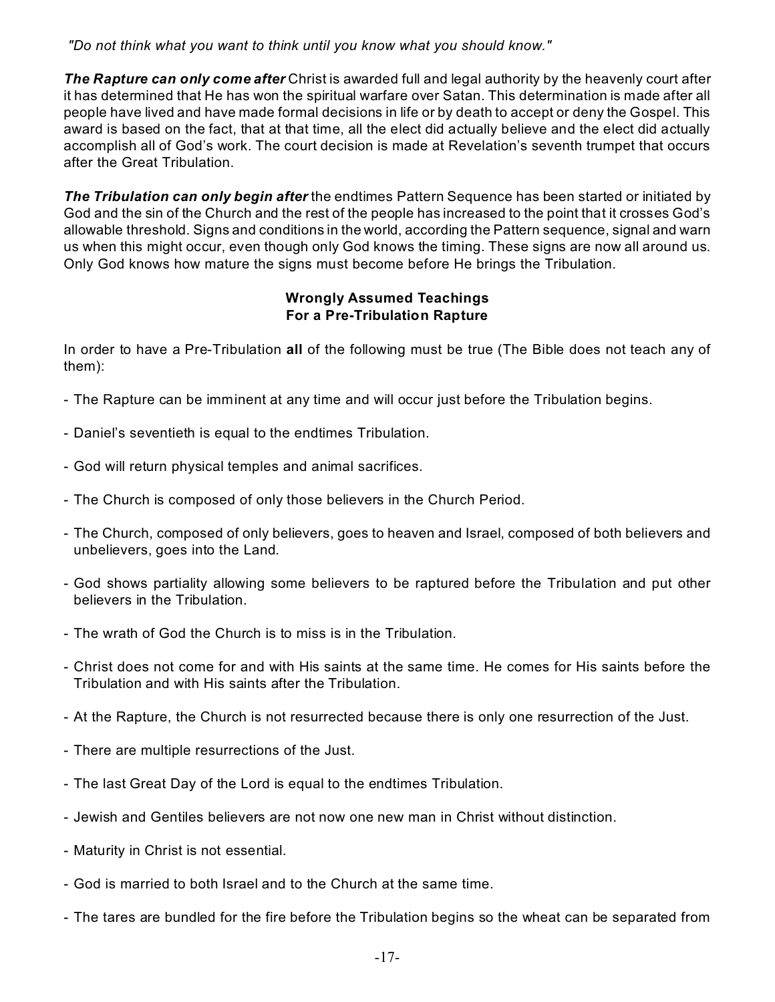*"Do not think what you want to think until you know what you should know."*

*The Rapture can only come after* Christ is awarded full and legal authority by the heavenly court after it has determined that He has won the spiritual warfare over Satan. This determination is made after all people have lived and have made formal decisions in life or by death to accept or deny the Gospel. This award is based on the fact, that at that time, all the elect did actually believe and the elect did actually accomplish all of God's work. The court decision is made at Revelation's seventh trumpet that occurs after the Great Tribulation.

*The Tribulation can only begin after* the endtimes Pattern Sequence has been started or initiated by God and the sin of the Church and the rest of the people has increased to the point that it crosses God's allowable threshold. Signs and conditions in the world, according the Pattern sequence, signal and warn us when this might occur, even though only God knows the timing. These signs are now all around us. Only God knows how mature the signs must become before He brings the Tribulation.

## **Wrongly Assumed Teachings For a Pre-Tribulation Rapture**

In order to have a Pre-Tribulation **all** of the following must be true (The Bible does not teach any of them):

- The Rapture can be imminent at any time and will occur just before the Tribulation begins.
- Daniel's seventieth is equal to the endtimes Tribulation.
- God will return physical temples and animal sacrifices.
- The Church is composed of only those believers in the Church Period.
- The Church, composed of only believers, goes to heaven and Israel, composed of both believers and unbelievers, goes into the Land.
- God shows partiality allowing some believers to be raptured before the Tribulation and put other believers in the Tribulation.
- The wrath of God the Church is to miss is in the Tribulation.
- Christ does not come for and with His saints at the same time. He comes for His saints before the Tribulation and with His saints after the Tribulation.
- At the Rapture, the Church is not resurrected because there is only one resurrection of the Just.
- There are multiple resurrections of the Just.
- The last Great Day of the Lord is equal to the endtimes Tribulation.
- Jewish and Gentiles believers are not now one new man in Christ without distinction.
- Maturity in Christ is not essential.
- God is married to both Israel and to the Church at the same time.
- The tares are bundled for the fire before the Tribulation begins so the wheat can be separated from